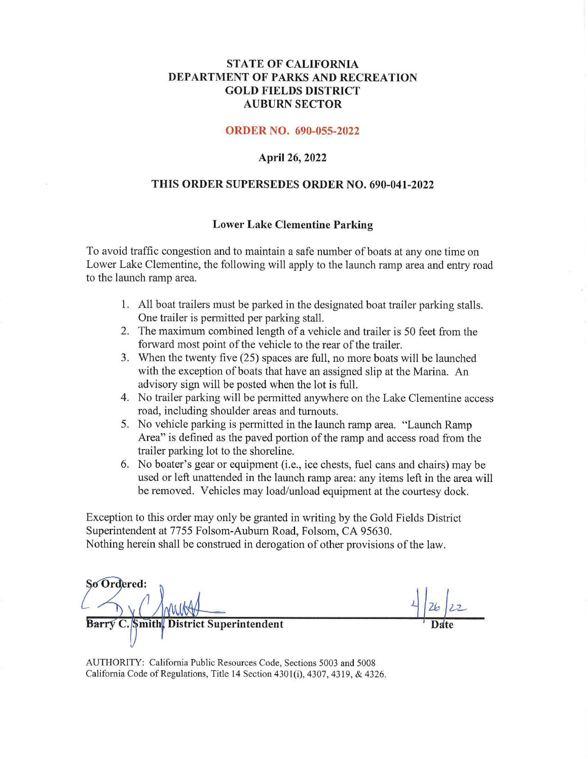### **STATE OF CALIFORNIA DEPARTMENT OF PARKS AND RECREATION GOLD FIELDS DISTRICT AUBURN SECTOR**

#### **ORDER NO. 690-055-2022**

#### **April 26, 2022**

#### **THIS ORDER SUPERSEDES ORDER NO. 690-041-2022**

#### **Lower Lake Clementine Parking**

To avoid traffic congestion and to maintain a safe number of boats at any one time on Lower Lake Clementine, the following will apply to the launch ramp area and entry road to the launch ramp area.

- 1. All boat trailers must be parked in the designated boat trailer parking stalls. One trailer is permitted per parking stall.
- 2. The maximum combined length of a vehicle and trailer is 50 feet from the forward most point of the vehicle to the rear of the trailer.
- 3. When the twenty five (25) spaces are full, no more boats will be launched with the exception of boats that have an assigned slip at the Marina. An advisory sign will be posted when the lot is full.
- 4. No trailer parking will be permitted anywhere on the Lake Clementine access road, including shoulder areas and turnouts.
- 5. No vehicle parking is permitted in the launch ramp area. "Launch Ramp Area" is defined as the paved portion of the ramp and access road from the trailer parking lot to the shoreline.
- 6. No boater's gear or equipment (i.e., ice chests, fuel cans and chairs) may be used or left unattended in the launch ramp area: any items left in the area will be removed. Vehicles may load/unload equipment at the courtesy dock.

Exception to this order may only be granted in writing by the Gold Fields District Superintendent at 7755 Folsom-Auburn Road, Folsom, CA 95630. Nothing herein shall be construed in derogation of other provisions of the law.

So Ordered: **Barry C Smith District Superintendent** 

 $26/22$ **Date** 

AUTHORlTY: California Public Resources Code, Sections 5003 and 5008 California Code of Regulations, Title 14 Section 4301(i), 4307, 4319, & 4326.